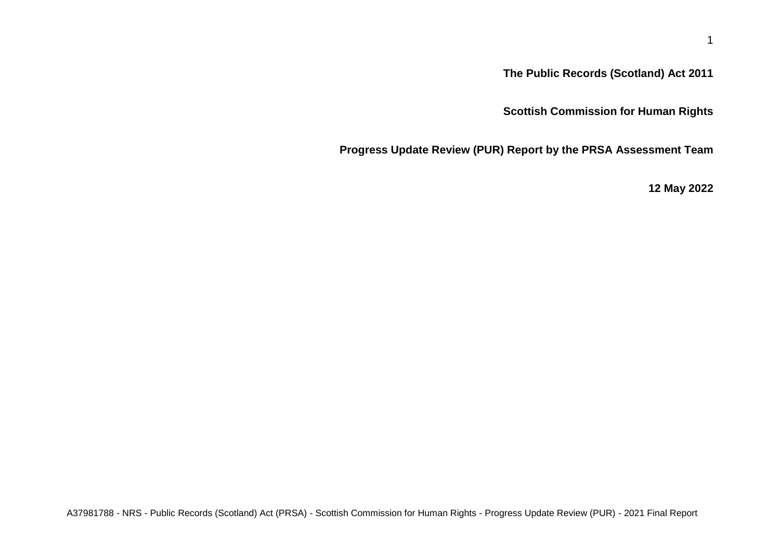**The Public Records (Scotland) Act 2011**

**Scottish Commission for Human Rights**

**Progress Update Review (PUR) Report by the PRSA Assessment Team**

**12 May 2022**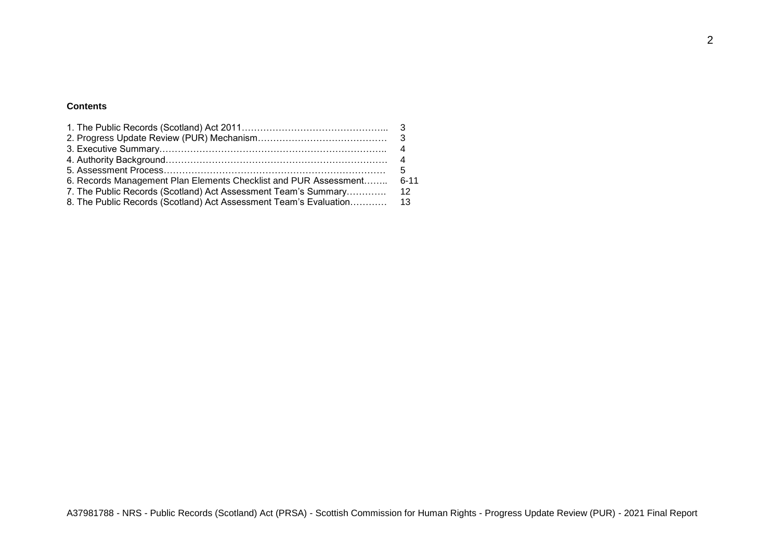# **Contents**

|                                                                  | 5     |
|------------------------------------------------------------------|-------|
| 6. Records Management Plan Elements Checklist and PUR Assessment | .6-11 |
| 7. The Public Records (Scotland) Act Assessment Team's Summary   | -12   |
|                                                                  |       |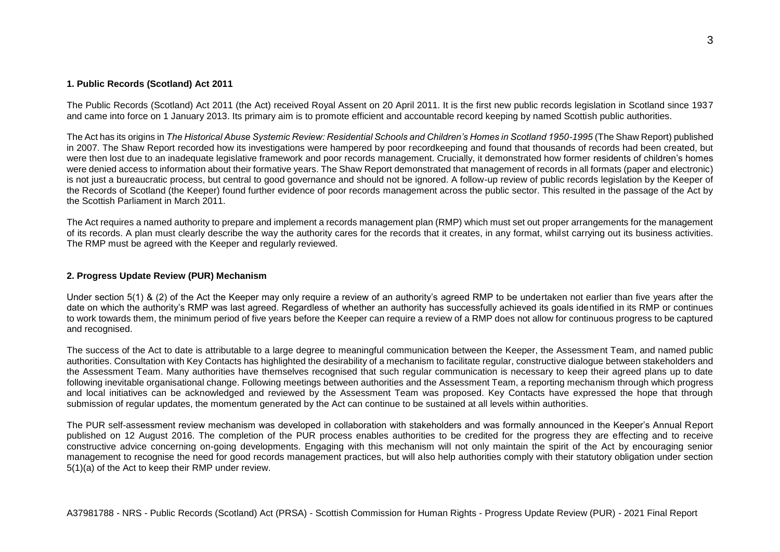### **1. Public Records (Scotland) Act 2011**

The Public Records (Scotland) Act 2011 (the Act) received Royal Assent on 20 April 2011. It is the first new public records legislation in Scotland since 1937 and came into force on 1 January 2013. Its primary aim is to promote efficient and accountable record keeping by named Scottish public authorities.

The Act has its origins in *The Historical Abuse Systemic Review: Residential Schools and Children's Homes in Scotland 1950-1995* (The Shaw Report) published in 2007. The Shaw Report recorded how its investigations were hampered by poor recordkeeping and found that thousands of records had been created, but were then lost due to an inadequate legislative framework and poor records management. Crucially, it demonstrated how former residents of children's homes were denied access to information about their formative years. The Shaw Report demonstrated that management of records in all formats (paper and electronic) is not just a bureaucratic process, but central to good governance and should not be ignored. A follow-up review of public records legislation by the Keeper of the Records of Scotland (the Keeper) found further evidence of poor records management across the public sector. This resulted in the passage of the Act by the Scottish Parliament in March 2011.

The Act requires a named authority to prepare and implement a records management plan (RMP) which must set out proper arrangements for the management of its records. A plan must clearly describe the way the authority cares for the records that it creates, in any format, whilst carrying out its business activities. The RMP must be agreed with the Keeper and regularly reviewed.

### **2. Progress Update Review (PUR) Mechanism**

Under section 5(1) & (2) of the Act the Keeper may only require a review of an authority's agreed RMP to be undertaken not earlier than five years after the date on which the authority's RMP was last agreed. Regardless of whether an authority has successfully achieved its goals identified in its RMP or continues to work towards them, the minimum period of five years before the Keeper can require a review of a RMP does not allow for continuous progress to be captured and recognised.

The success of the Act to date is attributable to a large degree to meaningful communication between the Keeper, the Assessment Team, and named public authorities. Consultation with Key Contacts has highlighted the desirability of a mechanism to facilitate regular, constructive dialogue between stakeholders and the Assessment Team. Many authorities have themselves recognised that such regular communication is necessary to keep their agreed plans up to date following inevitable organisational change. Following meetings between authorities and the Assessment Team, a reporting mechanism through which progress and local initiatives can be acknowledged and reviewed by the Assessment Team was proposed. Key Contacts have expressed the hope that through submission of regular updates, the momentum generated by the Act can continue to be sustained at all levels within authorities.

The PUR self-assessment review mechanism was developed in collaboration with stakeholders and was formally announced in the Keeper's Annual Report published on 12 August 2016. The completion of the PUR process enables authorities to be credited for the progress they are effecting and to receive constructive advice concerning on-going developments. Engaging with this mechanism will not only maintain the spirit of the Act by encouraging senior management to recognise the need for good records management practices, but will also help authorities comply with their statutory obligation under section 5(1)(a) of the Act to keep their RMP under review.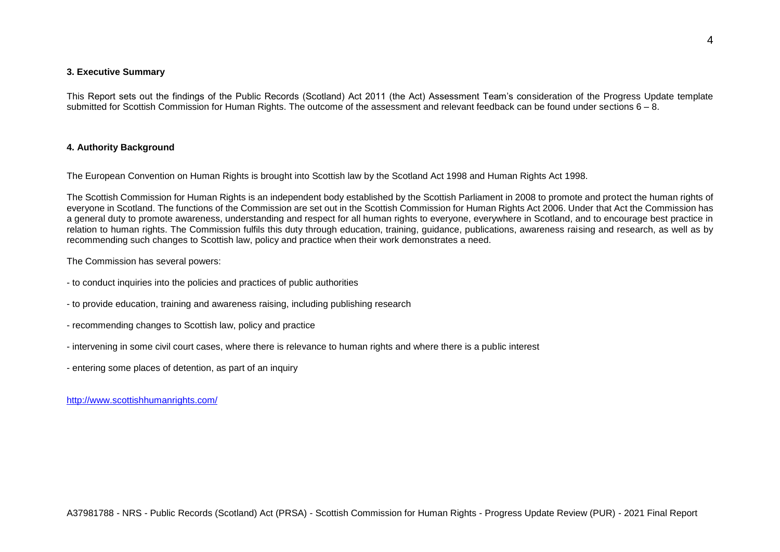### **3. Executive Summary**

This Report sets out the findings of the Public Records (Scotland) Act 2011 (the Act) Assessment Team's consideration of the Progress Update template submitted for Scottish Commission for Human Rights. The outcome of the assessment and relevant feedback can be found under sections 6 – 8.

### **4. Authority Background**

The European Convention on Human Rights is brought into Scottish law by the Scotland Act 1998 and Human Rights Act 1998.

The Scottish Commission for Human Rights is an independent body established by the Scottish Parliament in 2008 to promote and protect the human rights of everyone in Scotland. The functions of the Commission are set out in the Scottish Commission for Human Rights Act 2006. Under that Act the Commission has a general duty to promote awareness, understanding and respect for all human rights to everyone, everywhere in Scotland, and to encourage best practice in relation to human rights. The Commission fulfils this duty through education, training, guidance, publications, awareness raising and research, as well as by recommending such changes to Scottish law, policy and practice when their work demonstrates a need.

The Commission has several powers:

- to conduct inquiries into the policies and practices of public authorities
- to provide education, training and awareness raising, including publishing research
- recommending changes to Scottish law, policy and practice
- intervening in some civil court cases, where there is relevance to human rights and where there is a public interest
- entering some places of detention, as part of an inquiry

<http://www.scottishhumanrights.com/>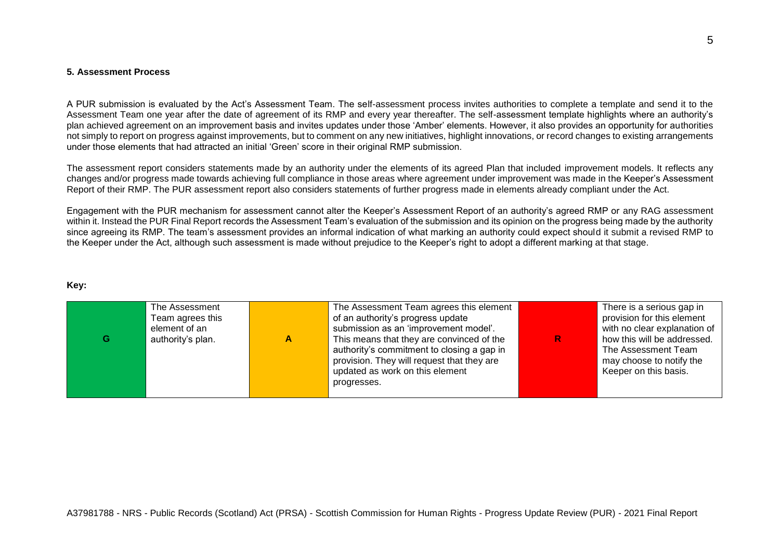#### **5. Assessment Process**

A PUR submission is evaluated by the Act's Assessment Team. The self-assessment process invites authorities to complete a template and send it to the Assessment Team one year after the date of agreement of its RMP and every year thereafter. The self-assessment template highlights where an authority's plan achieved agreement on an improvement basis and invites updates under those 'Amber' elements. However, it also provides an opportunity for authorities not simply to report on progress against improvements, but to comment on any new initiatives, highlight innovations, or record changes to existing arrangements under those elements that had attracted an initial 'Green' score in their original RMP submission.

The assessment report considers statements made by an authority under the elements of its agreed Plan that included improvement models. It reflects any changes and/or progress made towards achieving full compliance in those areas where agreement under improvement was made in the Keeper's Assessment Report of their RMP. The PUR assessment report also considers statements of further progress made in elements already compliant under the Act.

Engagement with the PUR mechanism for assessment cannot alter the Keeper's Assessment Report of an authority's agreed RMP or any RAG assessment within it. Instead the PUR Final Report records the Assessment Team's evaluation of the submission and its opinion on the progress being made by the authority since agreeing its RMP. The team's assessment provides an informal indication of what marking an authority could expect should it submit a revised RMP to the Keeper under the Act, although such assessment is made without prejudice to the Keeper's right to adopt a different marking at that stage.

#### **Key:**

| G | The Assessment<br>Team agrees this<br>element of an<br>authority's plan. | А | The Assessment Team agrees this element<br>of an authority's progress update<br>submission as an 'improvement model'.<br>This means that they are convinced of the<br>authority's commitment to closing a gap in<br>provision. They will request that they are<br>updated as work on this element<br>progresses. | R | There is a serious gap in<br>provision for this element<br>with no clear explanation of<br>how this will be addressed.<br>The Assessment Team<br>may choose to notify the<br>Keeper on this basis. |
|---|--------------------------------------------------------------------------|---|------------------------------------------------------------------------------------------------------------------------------------------------------------------------------------------------------------------------------------------------------------------------------------------------------------------|---|----------------------------------------------------------------------------------------------------------------------------------------------------------------------------------------------------|
|---|--------------------------------------------------------------------------|---|------------------------------------------------------------------------------------------------------------------------------------------------------------------------------------------------------------------------------------------------------------------------------------------------------------------|---|----------------------------------------------------------------------------------------------------------------------------------------------------------------------------------------------------|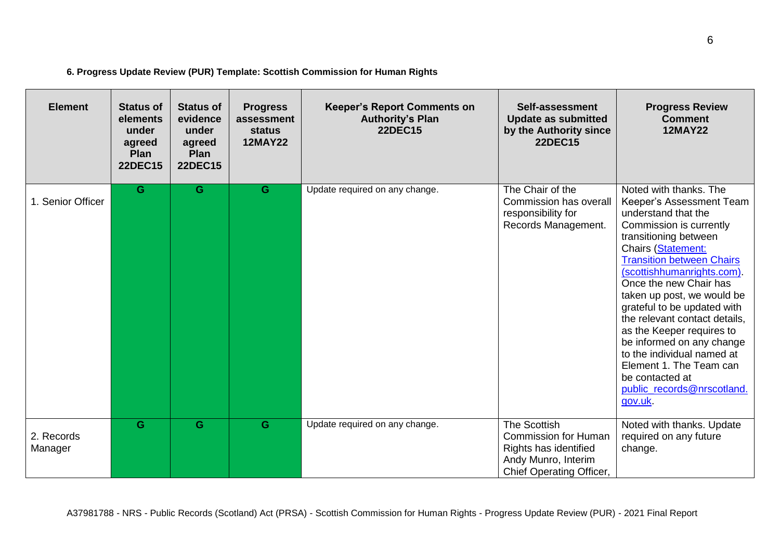| 6. Progress Update Review (PUR) Template: Scottish Commission for Human Rights |
|--------------------------------------------------------------------------------|
|--------------------------------------------------------------------------------|

| <b>Element</b>        | <b>Status of</b><br>elements<br>under<br>agreed<br>Plan<br><b>22DEC15</b> | <b>Status of</b><br>evidence<br>under<br>agreed<br>Plan<br><b>22DEC15</b> | <b>Progress</b><br>assessment<br><b>status</b><br><b>12MAY22</b> | <b>Keeper's Report Comments on</b><br><b>Authority's Plan</b><br><b>22DEC15</b> | Self-assessment<br><b>Update as submitted</b><br>by the Authority since<br><b>22DEC15</b>                                      | <b>Progress Review</b><br><b>Comment</b><br><b>12MAY22</b>                                                                                                                                                                                                                                                                                                                                                                                                                                                                  |
|-----------------------|---------------------------------------------------------------------------|---------------------------------------------------------------------------|------------------------------------------------------------------|---------------------------------------------------------------------------------|--------------------------------------------------------------------------------------------------------------------------------|-----------------------------------------------------------------------------------------------------------------------------------------------------------------------------------------------------------------------------------------------------------------------------------------------------------------------------------------------------------------------------------------------------------------------------------------------------------------------------------------------------------------------------|
| 1. Senior Officer     | G                                                                         | G                                                                         | G                                                                | Update required on any change.                                                  | The Chair of the<br>Commission has overall<br>responsibility for<br>Records Management.                                        | Noted with thanks. The<br>Keeper's Assessment Team<br>understand that the<br>Commission is currently<br>transitioning between<br>Chairs (Statement:<br><b>Transition between Chairs</b><br>(scottishhumanrights.com).<br>Once the new Chair has<br>taken up post, we would be<br>grateful to be updated with<br>the relevant contact details,<br>as the Keeper requires to<br>be informed on any change<br>to the individual named at<br>Element 1. The Team can<br>be contacted at<br>public_records@nrscotland.<br>gov.uk |
| 2. Records<br>Manager | G                                                                         | G.                                                                        | G                                                                | Update required on any change.                                                  | <b>The Scottish</b><br><b>Commission for Human</b><br>Rights has identified<br>Andy Munro, Interim<br>Chief Operating Officer, | Noted with thanks. Update<br>required on any future<br>change.                                                                                                                                                                                                                                                                                                                                                                                                                                                              |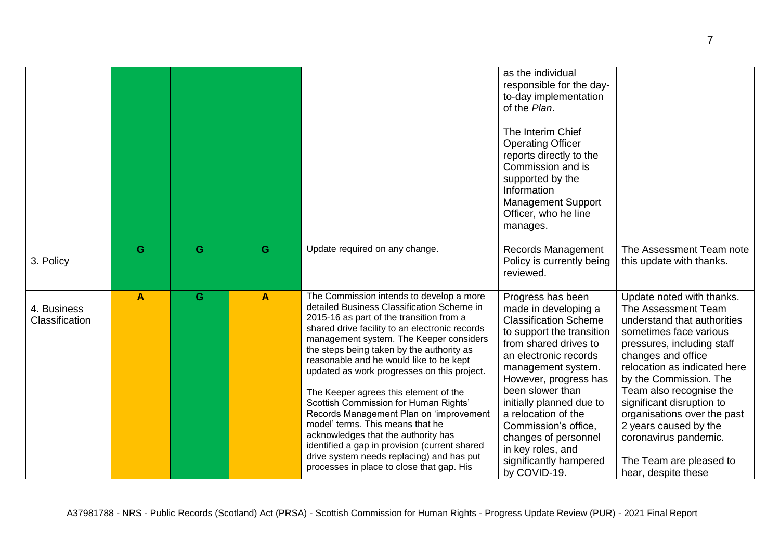|                               |              |   |              |                                                                                                                                                                                                                                                                                                                                                                                                                                                                                                                                                                                                                                                                                                                           | as the individual<br>responsible for the day-<br>to-day implementation<br>of the Plan.<br>The Interim Chief<br><b>Operating Officer</b><br>reports directly to the<br>Commission and is<br>supported by the<br>Information<br><b>Management Support</b><br>Officer, who he line<br>manages.                                                                                                   |                                                                                                                                                                                                                                                                                                                                                                                                                    |
|-------------------------------|--------------|---|--------------|---------------------------------------------------------------------------------------------------------------------------------------------------------------------------------------------------------------------------------------------------------------------------------------------------------------------------------------------------------------------------------------------------------------------------------------------------------------------------------------------------------------------------------------------------------------------------------------------------------------------------------------------------------------------------------------------------------------------------|-----------------------------------------------------------------------------------------------------------------------------------------------------------------------------------------------------------------------------------------------------------------------------------------------------------------------------------------------------------------------------------------------|--------------------------------------------------------------------------------------------------------------------------------------------------------------------------------------------------------------------------------------------------------------------------------------------------------------------------------------------------------------------------------------------------------------------|
| 3. Policy                     | G            | G | G            | Update required on any change.                                                                                                                                                                                                                                                                                                                                                                                                                                                                                                                                                                                                                                                                                            | Records Management<br>Policy is currently being<br>reviewed.                                                                                                                                                                                                                                                                                                                                  | The Assessment Team note<br>this update with thanks.                                                                                                                                                                                                                                                                                                                                                               |
| 4. Business<br>Classification | $\mathbf{A}$ | G | $\mathbf{A}$ | The Commission intends to develop a more<br>detailed Business Classification Scheme in<br>2015-16 as part of the transition from a<br>shared drive facility to an electronic records<br>management system. The Keeper considers<br>the steps being taken by the authority as<br>reasonable and he would like to be kept<br>updated as work progresses on this project.<br>The Keeper agrees this element of the<br>Scottish Commission for Human Rights'<br>Records Management Plan on 'improvement<br>model' terms. This means that he<br>acknowledges that the authority has<br>identified a gap in provision (current shared<br>drive system needs replacing) and has put<br>processes in place to close that gap. His | Progress has been<br>made in developing a<br><b>Classification Scheme</b><br>to support the transition<br>from shared drives to<br>an electronic records<br>management system.<br>However, progress has<br>been slower than<br>initially planned due to<br>a relocation of the<br>Commission's office,<br>changes of personnel<br>in key roles, and<br>significantly hampered<br>by COVID-19. | Update noted with thanks.<br>The Assessment Team<br>understand that authorities<br>sometimes face various<br>pressures, including staff<br>changes and office<br>relocation as indicated here<br>by the Commission. The<br>Team also recognise the<br>significant disruption to<br>organisations over the past<br>2 years caused by the<br>coronavirus pandemic.<br>The Team are pleased to<br>hear, despite these |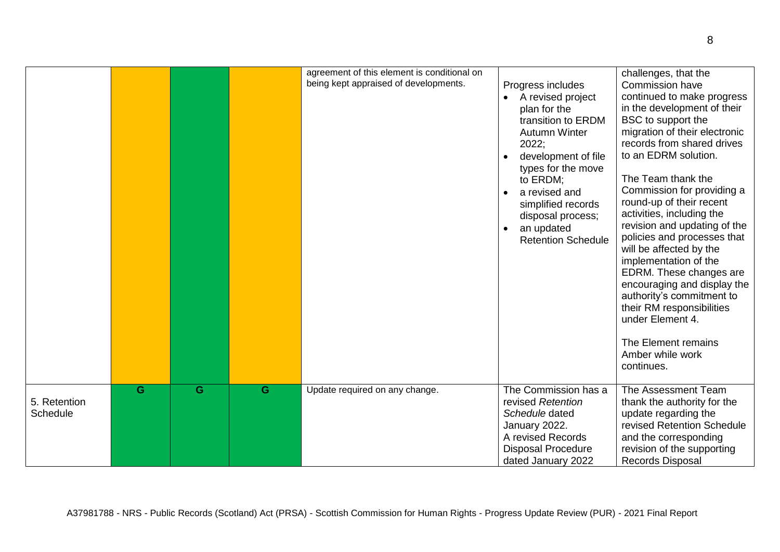|                                 |   |   |   | agreement of this element is conditional on<br>being kept appraised of developments. | Progress includes<br>A revised project<br>plan for the<br>transition to ERDM<br><b>Autumn Winter</b><br>2022;<br>development of file<br>types for the move<br>to ERDM;<br>a revised and<br>simplified records<br>disposal process;<br>an updated<br><b>Retention Schedule</b> | challenges, that the<br><b>Commission have</b><br>continued to make progress<br>in the development of their<br>BSC to support the<br>migration of their electronic<br>records from shared drives<br>to an EDRM solution.<br>The Team thank the<br>Commission for providing a<br>round-up of their recent<br>activities, including the<br>revision and updating of the<br>policies and processes that<br>will be affected by the<br>implementation of the<br>EDRM. These changes are<br>encouraging and display the<br>authority's commitment to<br>their RM responsibilities<br>under Element 4.<br>The Element remains<br>Amber while work<br>continues. |
|---------------------------------|---|---|---|--------------------------------------------------------------------------------------|-------------------------------------------------------------------------------------------------------------------------------------------------------------------------------------------------------------------------------------------------------------------------------|-----------------------------------------------------------------------------------------------------------------------------------------------------------------------------------------------------------------------------------------------------------------------------------------------------------------------------------------------------------------------------------------------------------------------------------------------------------------------------------------------------------------------------------------------------------------------------------------------------------------------------------------------------------|
| 5. Retention<br><b>Schedule</b> | G | G | G | Update required on any change.                                                       | The Commission has a<br>revised Retention<br>Schedule dated<br>January 2022.<br>A revised Records<br><b>Disposal Procedure</b><br>dated January 2022                                                                                                                          | The Assessment Team<br>thank the authority for the<br>update regarding the<br>revised Retention Schedule<br>and the corresponding<br>revision of the supporting<br>Records Disposal                                                                                                                                                                                                                                                                                                                                                                                                                                                                       |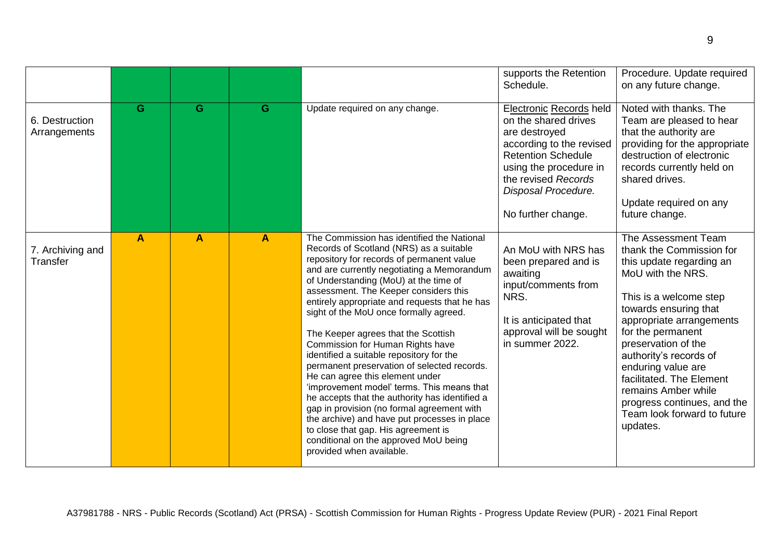|                                |   |   |              |                                                                                                                                                                                                                                                                                                                                                                                                                                                                                                                                                                                                                                                                                                                                                                                                                                                                                  | supports the Retention<br>Schedule.                                                                                                                                                                                     | Procedure. Update required<br>on any future change.                                                                                                                                                                                                                                                                                                                                                      |
|--------------------------------|---|---|--------------|----------------------------------------------------------------------------------------------------------------------------------------------------------------------------------------------------------------------------------------------------------------------------------------------------------------------------------------------------------------------------------------------------------------------------------------------------------------------------------------------------------------------------------------------------------------------------------------------------------------------------------------------------------------------------------------------------------------------------------------------------------------------------------------------------------------------------------------------------------------------------------|-------------------------------------------------------------------------------------------------------------------------------------------------------------------------------------------------------------------------|----------------------------------------------------------------------------------------------------------------------------------------------------------------------------------------------------------------------------------------------------------------------------------------------------------------------------------------------------------------------------------------------------------|
| 6. Destruction<br>Arrangements | G | G | G            | Update required on any change.                                                                                                                                                                                                                                                                                                                                                                                                                                                                                                                                                                                                                                                                                                                                                                                                                                                   | Electronic Records held<br>on the shared drives<br>are destroyed<br>according to the revised<br><b>Retention Schedule</b><br>using the procedure in<br>the revised Records<br>Disposal Procedure.<br>No further change. | Noted with thanks. The<br>Team are pleased to hear<br>that the authority are<br>providing for the appropriate<br>destruction of electronic<br>records currently held on<br>shared drives.<br>Update required on any<br>future change.                                                                                                                                                                    |
| 7. Archiving and<br>Transfer   | A | A | $\mathbf{A}$ | The Commission has identified the National<br>Records of Scotland (NRS) as a suitable<br>repository for records of permanent value<br>and are currently negotiating a Memorandum<br>of Understanding (MoU) at the time of<br>assessment. The Keeper considers this<br>entirely appropriate and requests that he has<br>sight of the MoU once formally agreed.<br>The Keeper agrees that the Scottish<br>Commission for Human Rights have<br>identified a suitable repository for the<br>permanent preservation of selected records.<br>He can agree this element under<br>'improvement model' terms. This means that<br>he accepts that the authority has identified a<br>gap in provision (no formal agreement with<br>the archive) and have put processes in place<br>to close that gap. His agreement is<br>conditional on the approved MoU being<br>provided when available. | An MoU with NRS has<br>been prepared and is<br>awaiting<br>input/comments from<br>NRS.<br>It is anticipated that<br>approval will be sought<br>in summer 2022.                                                          | The Assessment Team<br>thank the Commission for<br>this update regarding an<br>MoU with the NRS.<br>This is a welcome step<br>towards ensuring that<br>appropriate arrangements<br>for the permanent<br>preservation of the<br>authority's records of<br>enduring value are<br>facilitated. The Element<br>remains Amber while<br>progress continues, and the<br>Team look forward to future<br>updates. |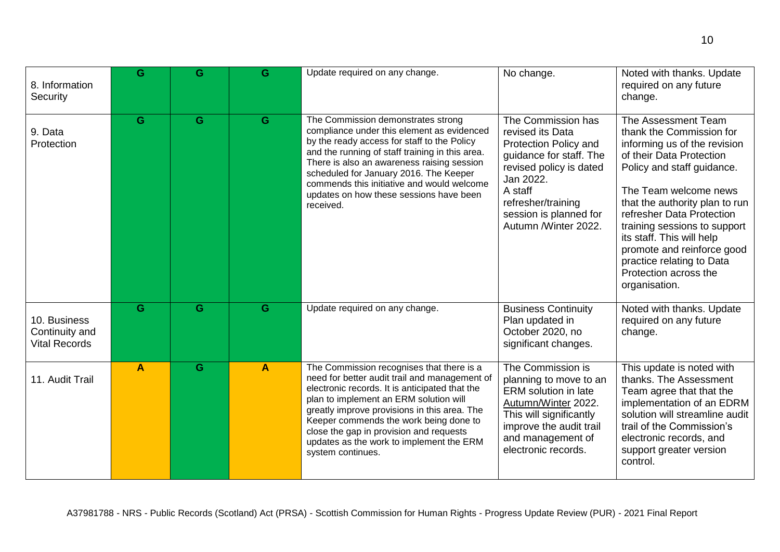| 8. Information<br>Security                             | G                       | G | G            | Update required on any change.                                                                                                                                                                                                                                                                                                                                                               | No change.                                                                                                                                                                                                            | Noted with thanks. Update<br>required on any future<br>change.                                                                                                                                                                                                                                                                                                                                      |
|--------------------------------------------------------|-------------------------|---|--------------|----------------------------------------------------------------------------------------------------------------------------------------------------------------------------------------------------------------------------------------------------------------------------------------------------------------------------------------------------------------------------------------------|-----------------------------------------------------------------------------------------------------------------------------------------------------------------------------------------------------------------------|-----------------------------------------------------------------------------------------------------------------------------------------------------------------------------------------------------------------------------------------------------------------------------------------------------------------------------------------------------------------------------------------------------|
| 9. Data<br>Protection                                  | G                       | G | G            | The Commission demonstrates strong<br>compliance under this element as evidenced<br>by the ready access for staff to the Policy<br>and the running of staff training in this area.<br>There is also an awareness raising session<br>scheduled for January 2016. The Keeper<br>commends this initiative and would welcome<br>updates on how these sessions have been<br>received.             | The Commission has<br>revised its Data<br>Protection Policy and<br>guidance for staff. The<br>revised policy is dated<br>Jan 2022.<br>A staff<br>refresher/training<br>session is planned for<br>Autumn /Winter 2022. | The Assessment Team<br>thank the Commission for<br>informing us of the revision<br>of their Data Protection<br>Policy and staff guidance.<br>The Team welcome news<br>that the authority plan to run<br>refresher Data Protection<br>training sessions to support<br>its staff. This will help<br>promote and reinforce good<br>practice relating to Data<br>Protection across the<br>organisation. |
| 10. Business<br>Continuity and<br><b>Vital Records</b> | G                       | G | G            | Update required on any change.                                                                                                                                                                                                                                                                                                                                                               | <b>Business Continuity</b><br>Plan updated in<br>October 2020, no<br>significant changes.                                                                                                                             | Noted with thanks. Update<br>required on any future<br>change.                                                                                                                                                                                                                                                                                                                                      |
| 11. Audit Trail                                        | $\overline{\mathsf{A}}$ | G | $\mathbf{A}$ | The Commission recognises that there is a<br>need for better audit trail and management of<br>electronic records. It is anticipated that the<br>plan to implement an ERM solution will<br>greatly improve provisions in this area. The<br>Keeper commends the work being done to<br>close the gap in provision and requests<br>updates as the work to implement the ERM<br>system continues. | The Commission is<br>planning to move to an<br><b>ERM</b> solution in late<br>Autumn/Winter 2022.<br>This will significantly<br>improve the audit trail<br>and management of<br>electronic records.                   | This update is noted with<br>thanks. The Assessment<br>Team agree that that the<br>implementation of an EDRM<br>solution will streamline audit<br>trail of the Commission's<br>electronic records, and<br>support greater version<br>control.                                                                                                                                                       |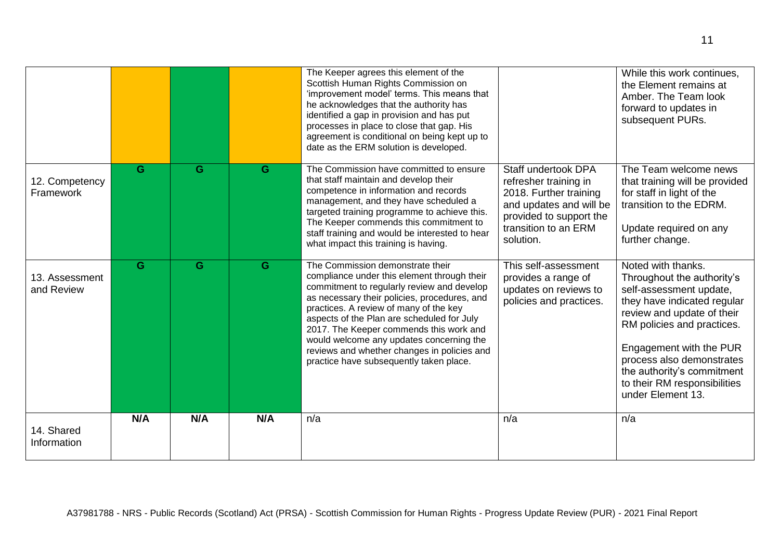|                              |     |     |     | The Keeper agrees this element of the<br>Scottish Human Rights Commission on<br>'improvement model' terms. This means that<br>he acknowledges that the authority has<br>identified a gap in provision and has put<br>processes in place to close that gap. His<br>agreement is conditional on being kept up to<br>date as the ERM solution is developed.                                                                                               |                                                                                                                                                                   | While this work continues.<br>the Element remains at<br>Amber, The Team look<br>forward to updates in<br>subsequent PURs.                                                                                                                                                                                         |
|------------------------------|-----|-----|-----|--------------------------------------------------------------------------------------------------------------------------------------------------------------------------------------------------------------------------------------------------------------------------------------------------------------------------------------------------------------------------------------------------------------------------------------------------------|-------------------------------------------------------------------------------------------------------------------------------------------------------------------|-------------------------------------------------------------------------------------------------------------------------------------------------------------------------------------------------------------------------------------------------------------------------------------------------------------------|
| 12. Competency<br>Framework  | G   | G   | G   | The Commission have committed to ensure<br>that staff maintain and develop their<br>competence in information and records<br>management, and they have scheduled a<br>targeted training programme to achieve this.<br>The Keeper commends this commitment to<br>staff training and would be interested to hear<br>what impact this training is having.                                                                                                 | Staff undertook DPA<br>refresher training in<br>2018. Further training<br>and updates and will be<br>provided to support the<br>transition to an ERM<br>solution. | The Team welcome news<br>that training will be provided<br>for staff in light of the<br>transition to the EDRM.<br>Update required on any<br>further change.                                                                                                                                                      |
| 13. Assessment<br>and Review | G.  | G   | G   | The Commission demonstrate their<br>compliance under this element through their<br>commitment to regularly review and develop<br>as necessary their policies, procedures, and<br>practices. A review of many of the key<br>aspects of the Plan are scheduled for July<br>2017. The Keeper commends this work and<br>would welcome any updates concerning the<br>reviews and whether changes in policies and<br>practice have subsequently taken place. | This self-assessment<br>provides a range of<br>updates on reviews to<br>policies and practices.                                                                   | Noted with thanks.<br>Throughout the authority's<br>self-assessment update,<br>they have indicated regular<br>review and update of their<br>RM policies and practices.<br>Engagement with the PUR<br>process also demonstrates<br>the authority's commitment<br>to their RM responsibilities<br>under Element 13. |
| 14. Shared<br>Information    | N/A | N/A | N/A | n/a                                                                                                                                                                                                                                                                                                                                                                                                                                                    | n/a                                                                                                                                                               | n/a                                                                                                                                                                                                                                                                                                               |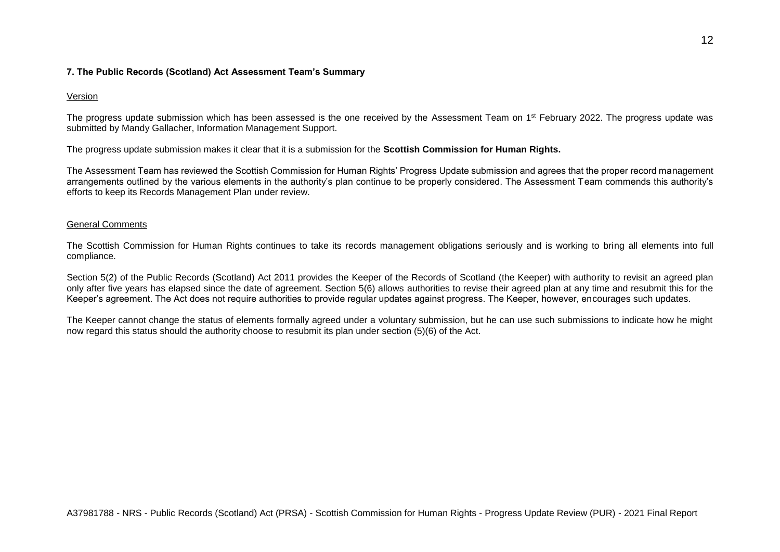# **7. The Public Records (Scotland) Act Assessment Team's Summary**

# Version

The progress update submission which has been assessed is the one received by the Assessment Team on 1<sup>st</sup> February 2022. The progress update was submitted by Mandy Gallacher, Information Management Support.

The progress update submission makes it clear that it is a submission for the **Scottish Commission for Human Rights.**

The Assessment Team has reviewed the Scottish Commission for Human Rights' Progress Update submission and agrees that the proper record management arrangements outlined by the various elements in the authority's plan continue to be properly considered. The Assessment Team commends this authority's efforts to keep its Records Management Plan under review.

## General Comments

The Scottish Commission for Human Rights continues to take its records management obligations seriously and is working to bring all elements into full compliance.

Section 5(2) of the Public Records (Scotland) Act 2011 provides the Keeper of the Records of Scotland (the Keeper) with authority to revisit an agreed plan only after five years has elapsed since the date of agreement. Section 5(6) allows authorities to revise their agreed plan at any time and resubmit this for the Keeper's agreement. The Act does not require authorities to provide regular updates against progress. The Keeper, however, encourages such updates.

The Keeper cannot change the status of elements formally agreed under a voluntary submission, but he can use such submissions to indicate how he might now regard this status should the authority choose to resubmit its plan under section (5)(6) of the Act.